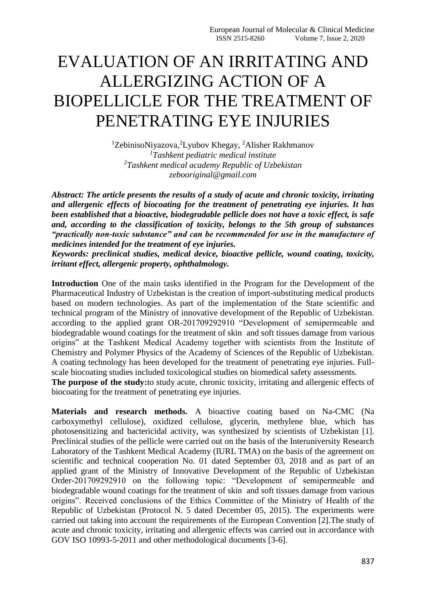## EVALUATION OF AN IRRITATING AND ALLERGIZING ACTION OF A BIOPELLICLE FOR THE TREATMENT OF PENETRATING EYE INJURIES

<sup>1</sup>ZebinisoNiyazova, <sup>2</sup>Lyubov Khegay, <sup>2</sup>Alisher Rakhmanov *<sup>1</sup>Tashkent pediatric medical institute <sup>2</sup>Tashkent medical academy Republic of Uzbekistan zebooriginal@gmail.com*

*Abstract: The article presents the results of a study of acute and chronic toxicity, irritating and allergenic effects of biocoating for the treatment of penetrating eye injuries. It has been established that a bioactive, biodegradable pellicle does not have a toxic effect, is safe and, according to the classification of toxicity, belongs to the 5th group of substances "practically non-toxic substance" and can be recommended for use in the manufacture of medicines intended for the treatment of eye injuries.*

*Keywords: preclinical studies, medical device, bioactive pellicle, wound coating, toxicity, irritant effect, allergenic property, ophthalmology.*

**Introduction** One of the main tasks identified in the Program for the Development of the Pharmaceutical Industry of Uzbekistan is the creation of import-substituting medical products based on modern technologies. As part of the implementation of the State scientific and technical program of the Ministry of innovative development of the Republic of Uzbekistan. according to the applied grant OR-201709292910 "Development of semipermeable and biodegradable wound coatings for the treatment of skin and soft tissues damage from various origins" at the Tashkent Medical Academy together with scientists from the Institute of Chemistry and Polymer Physics of the Academy of Sciences of the Republic of Uzbekistan. A coating technology has been developed for the treatment of penetrating eye injuries. Fullscale biocoating studies included toxicological studies on biomedical safety assessments.

**The purpose of the study:**to study acute, chronic toxicity, irritating and allergenic effects of biocoating for the treatment of penetrating eye injuries.

**Materials and research methods.** A bioactive coating based on Na-CMC (Na carboxymethyl cellulose), oxidized cellulose, glycerin, methylene blue, which has photosensitizing and bactericidal activity, was synthesized by scientists of Uzbekistan [1]. Preclinical studies of the pellicle were carried out on the basis of the Interuniversity Research Laboratory of the Tashkent Medical Academy (IURL TMA) on the basis of the agreement on scientific and technical cooperation No. 01 dated September 03, 2018 and as part of an applied grant of the Ministry of Innovative Development of the Republic of Uzbekistan Order-201709292910 on the following topic: "Development of semipermeable and biodegradable wound coatings for the treatment of skin and soft tissues damage from various origins". Received conclusions of the Ethics Committee of the Ministry of Health of the Republic of Uzbekistan (Protocol N. 5 dated December 05, 2015). The experiments were carried out taking into account the requirements of the European Convention [2].The study of acute and chronic toxicity, irritating and allergenic effects was carried out in accordance with GOV ISO 10993-5-2011 and other methodological documents [3-6].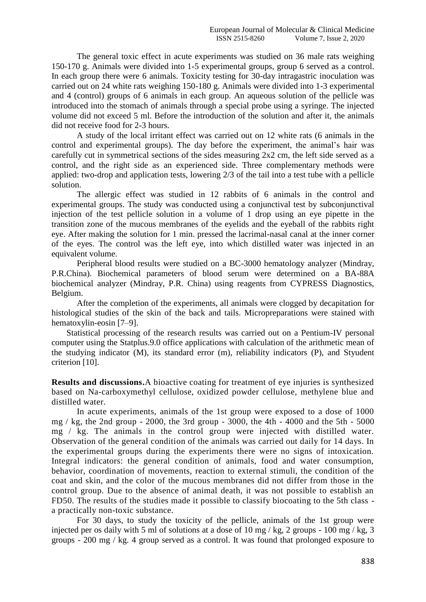The general toxic effect in acute experiments was studied on 36 male rats weighing 150-170 g. Animals were divided into 1-5 experimental groups, group 6 served as a control. In each group there were 6 animals. Toxicity testing for 30-day intragastric inoculation was carried out on 24 white rats weighing 150-180 g. Animals were divided into 1-3 experimental and 4 (control) groups of 6 animals in each group. An aqueous solution of the pellicle was introduced into the stomach of animals through a special probe using a syringe. The injected volume did not exceed 5 ml. Before the introduction of the solution and after it, the animals did not receive food for 2-3 hours.

A study of the local irritant effect was carried out on 12 white rats (6 animals in the control and experimental groups). The day before the experiment, the animal's hair was carefully cut in symmetrical sections of the sides measuring 2x2 cm, the left side served as a control, and the right side as an experienced side. Three complementary methods were applied: two-drop and application tests, lowering 2/3 of the tail into a test tube with a pellicle solution.

The allergic effect was studied in 12 rabbits of 6 animals in the control and experimental groups. The study was conducted using a conjunctival test by subconjunctival injection of the test pellicle solution in a volume of 1 drop using an eye pipette in the transition zone of the mucous membranes of the eyelids and the eyeball of the rabbits right eye. After making the solution for 1 min. pressed the lacrimal-nasal canal at the inner corner of the eyes. The control was the left eye, into which distilled water was injected in an equivalent volume.

Peripheral blood results were studied on a BC-3000 hematology analyzer (Mindray, P.R.China). Biochemical parameters of blood serum were determined on a BA-88A biochemical analyzer (Mindray, P.R. China) using reagents from CYPRESS Diagnostics, Belgium.

After the completion of the experiments, all animals were clogged by decapitation for histological studies of the skin of the back and tails. Micropreparations were stained with hematoxylin-eosin [7–9].

 Statistical processing of the research results was carried out on a Pentium-IV personal computer using the Statplus.9.0 office applications with calculation of the arithmetic mean of the studying indicator (M), its standard error (m), reliability indicators (P), and Styudent criterion [10].

**Results and discussions.**A bioactive coating for treatment of eye injuries is synthesized based on Na-carboxymethyl cellulose, oxidized powder cellulose, methylene blue and distilled water.

In acute experiments, animals of the 1st group were exposed to a dose of 1000 mg / kg, the 2nd group - 2000, the 3rd group - 3000, the 4th - 4000 and the 5th - 5000 mg / kg. The animals in the control group were injected with distilled water. Observation of the general condition of the animals was carried out daily for 14 days. In the experimental groups during the experiments there were no signs of intoxication. Integral indicators: the general condition of animals, food and water consumption, behavior, coordination of movements, reaction to external stimuli, the condition of the coat and skin, and the color of the mucous membranes did not differ from those in the control group. Due to the absence of animal death, it was not possible to establish an FD50. The results of the studies made it possible to classify biocoating to the 5th class a practically non-toxic substance.

For 30 days, to study the toxicity of the pellicle, animals of the 1st group were injected per os daily with 5 ml of solutions at a dose of 10 mg / kg, 2 groups - 100 mg / kg, 3 groups - 200 mg / kg. 4 group served as a control. It was found that prolonged exposure to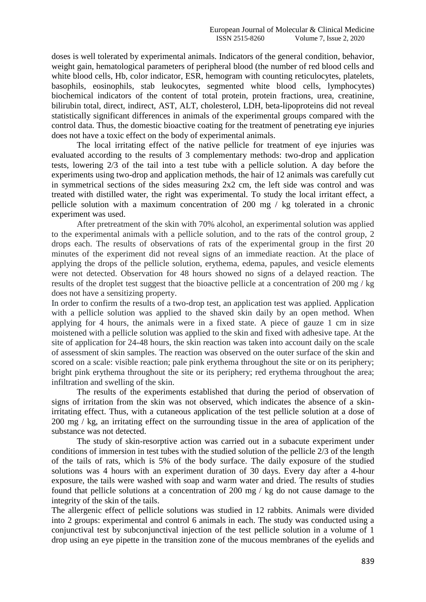doses is well tolerated by experimental animals. Indicators of the general condition, behavior, weight gain, hematological parameters of peripheral blood (the number of red blood cells and white blood cells, Hb, color indicator, ESR, hemogram with counting reticulocytes, platelets, basophils, eosinophils, stab leukocytes, segmented white blood cells, lymphocytes) biochemical indicators of the content of total protein, protein fractions, urea, creatinine, bilirubin total, direct, indirect, AST, ALT, cholesterol, LDH, beta-lipoproteins did not reveal statistically significant differences in animals of the experimental groups compared with the control data. Thus, the domestic bioactive coating for the treatment of penetrating eye injuries does not have a toxic effect on the body of experimental animals.

The local irritating effect of the native pellicle for treatment of eye injuries was evaluated according to the results of 3 complementary methods: two-drop and application tests, lowering 2/3 of the tail into a test tube with a pellicle solution. A day before the experiments using two-drop and application methods, the hair of 12 animals was carefully cut in symmetrical sections of the sides measuring 2x2 cm, the left side was control and was treated with distilled water, the right was experimental. To study the local irritant effect, a pellicle solution with a maximum concentration of 200 mg / kg tolerated in a chronic experiment was used.

After pretreatment of the skin with 70% alcohol, an experimental solution was applied to the experimental animals with a pellicle solution, and to the rats of the control group, 2 drops each. The results of observations of rats of the experimental group in the first 20 minutes of the experiment did not reveal signs of an immediate reaction. At the place of applying the drops of the pellicle solution, erythema, edema, papules, and vesicle elements were not detected. Observation for 48 hours showed no signs of a delayed reaction. The results of the droplet test suggest that the bioactive pellicle at a concentration of 200 mg / kg does not have a sensitizing property.

In order to confirm the results of a two-drop test, an application test was applied. Application with a pellicle solution was applied to the shaved skin daily by an open method. When applying for 4 hours, the animals were in a fixed state. A piece of gauze 1 cm in size moistened with a pellicle solution was applied to the skin and fixed with adhesive tape. At the site of application for 24-48 hours, the skin reaction was taken into account daily on the scale of assessment of skin samples. The reaction was observed on the outer surface of the skin and scored on a scale: visible reaction; pale pink erythema throughout the site or on its periphery; bright pink erythema throughout the site or its periphery; red erythema throughout the area; infiltration and swelling of the skin.

The results of the experiments established that during the period of observation of signs of irritation from the skin was not observed, which indicates the absence of a skinirritating effect. Thus, with a cutaneous application of the test pellicle solution at a dose of 200 mg / kg, an irritating effect on the surrounding tissue in the area of application of the substance was not detected.

The study of skin-resorptive action was carried out in a subacute experiment under conditions of immersion in test tubes with the studied solution of the pellicle 2/3 of the length of the tails of rats, which is 5% of the body surface. The daily exposure of the studied solutions was 4 hours with an experiment duration of 30 days. Every day after a 4-hour exposure, the tails were washed with soap and warm water and dried. The results of studies found that pellicle solutions at a concentration of 200 mg / kg do not cause damage to the integrity of the skin of the tails.

The allergenic effect of pellicle solutions was studied in 12 rabbits. Animals were divided into 2 groups: experimental and control 6 animals in each. The study was conducted using a conjunctival test by subconjunctival injection of the test pellicle solution in a volume of 1 drop using an eye pipette in the transition zone of the mucous membranes of the eyelids and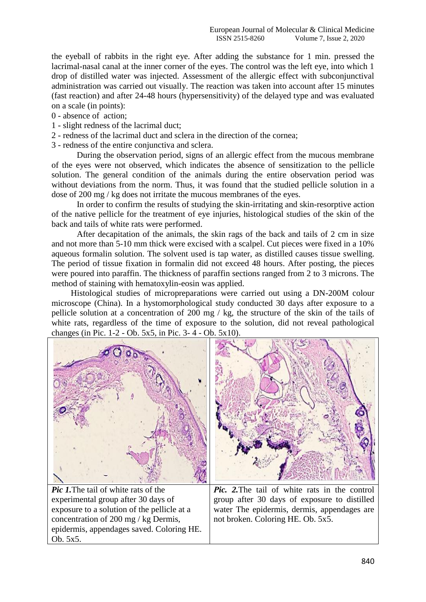the eyeball of rabbits in the right eye. After adding the substance for 1 min. pressed the lacrimal-nasal canal at the inner corner of the eyes. The control was the left eye, into which 1 drop of distilled water was injected. Assessment of the allergic effect with subconjunctival administration was carried out visually. The reaction was taken into account after 15 minutes (fast reaction) and after 24-48 hours (hypersensitivity) of the delayed type and was evaluated on a scale (in points):

0 - absence of action;

Ob. 5x5.

- 1 slight redness of the lacrimal duct;
- 2 redness of the lacrimal duct and sclera in the direction of the cornea;
- 3 redness of the entire conjunctiva and sclera.

During the observation period, signs of an allergic effect from the mucous membrane of the eyes were not observed, which indicates the absence of sensitization to the pellicle solution. The general condition of the animals during the entire observation period was without deviations from the norm. Thus, it was found that the studied pellicle solution in a dose of 200 mg / kg does not irritate the mucous membranes of the eyes.

In order to confirm the results of studying the skin-irritating and skin-resorptive action of the native pellicle for the treatment of eye injuries, histological studies of the skin of the back and tails of white rats were performed.

After decapitation of the animals, the skin rags of the back and tails of 2 cm in size and not more than 5-10 mm thick were excised with a scalpel. Cut pieces were fixed in a 10% aqueous formalin solution. The solvent used is tap water, as distilled causes tissue swelling. The period of tissue fixation in formalin did not exceed 48 hours. After posting, the pieces were poured into paraffin. The thickness of paraffin sections ranged from 2 to 3 microns. The method of staining with hematoxylin-eosin was applied.

Histological studies of micropreparations were carried out using a DN-200M colour microscope (China). In a hystomorphological study conducted 30 days after exposure to a pellicle solution at a concentration of 200 mg / kg, the structure of the skin of the tails of white rats, regardless of the time of exposure to the solution, did not reveal pathological changes (in Pic. 1-2 - Ob. 5x5, in Pic. 3- 4 - Ob. 5x10).

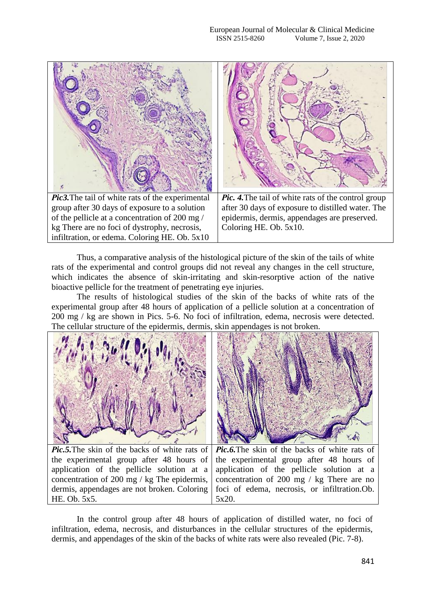

Thus, a comparative analysis of the histological picture of the skin of the tails of white rats of the experimental and control groups did not reveal any changes in the cell structure, which indicates the absence of skin-irritating and skin-resorptive action of the native bioactive pellicle for the treatment of penetrating eye injuries.

The results of histological studies of the skin of the backs of white rats of the experimental group after 48 hours of application of a pellicle solution at a concentration of 200 mg / kg are shown in Pics. 5-6. No foci of infiltration, edema, necrosis were detected. The cellular structure of the epidermis, dermis, skin appendages is not broken.



*Рic.5.*The skin of the backs of white rats of the experimental group after 48 hours of application of the pellicle solution at a concentration of 200 mg / kg The epidermis, dermis, appendages are not broken. Coloring HE. Ob. 5x5.

*Рic.6.*The skin of the backs of white rats of the experimental group after 48 hours of application of the pellicle solution at a concentration of 200 mg / kg There are no foci of edema, necrosis, or infiltration.Ob. 5x20.

In the control group after 48 hours of application of distilled water, no foci of infiltration, edema, necrosis, and disturbances in the cellular structures of the epidermis, dermis, and appendages of the skin of the backs of white rats were also revealed (Pic. 7-8).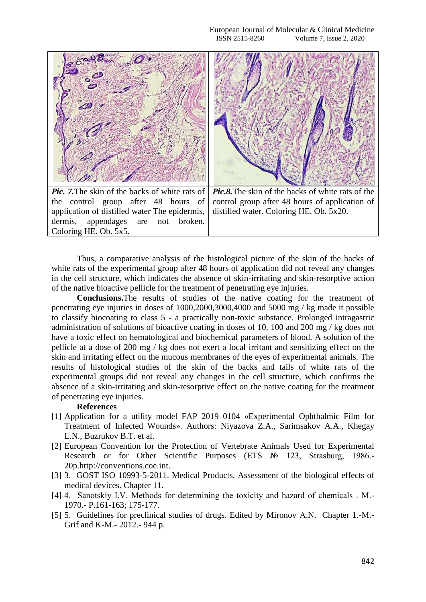

Thus, a comparative analysis of the histological picture of the skin of the backs of white rats of the experimental group after 48 hours of application did not reveal any changes in the cell structure, which indicates the absence of skin-irritating and skin-resorptive action of the native bioactive pellicle for the treatment of penetrating eye injuries.

**Conclusions.**The results of studies of the native coating for the treatment of penetrating eye injuries in doses of 1000,2000,3000,4000 and 5000 mg / kg made it possible to classify biocoating to class 5 - a practically non-toxic substance. Prolonged intragastric administration of solutions of bioactive coating in doses of 10, 100 and 200 mg / kg does not have a toxic effect on hematological and biochemical parameters of blood. A solution of the pellicle at a dose of 200 mg / kg does not exert a local irritant and sensitizing effect on the skin and irritating effect on the mucous membranes of the eyes of experimental animals. The results of histological studies of the skin of the backs and tails of white rats of the experimental groups did not reveal any changes in the cell structure, which confirms the absence of a skin-irritating and skin-resorptive effect on the native coating for the treatment of penetrating eye injuries.

## **References**

- [1] Application for a utility model FAP 2019 0104 «Experimental Ophthalmic Film for Treatment of Infected Wounds». Authors: Niyazova Z.A., Sarimsakov A.A., Khegay L.N., Buzrukov B.T. et al.
- [2] European Convention for the Protection of Vertebrate Animals Used for Experimental Research or for Other Scientific Purposes (ETS № 123, Strasburg, 1986.-20p.http://conventions.coe.int.
- [3] 3. GOST ISO 10993-5-2011. Medical Products. Assessment of the biological effects of medical devices. Chapter 11.
- [4] 4. Sanotskiy I.V. Methods for determining the toxicity and hazard of chemicals . М.- 1970.- P.161-163; 175-177.
- [5] 5. Guidelines for preclinical studies of drugs. Edited by Mironov А.N. Chapter 1.-М.- Grif and K-М.- 2012.- 944 p.